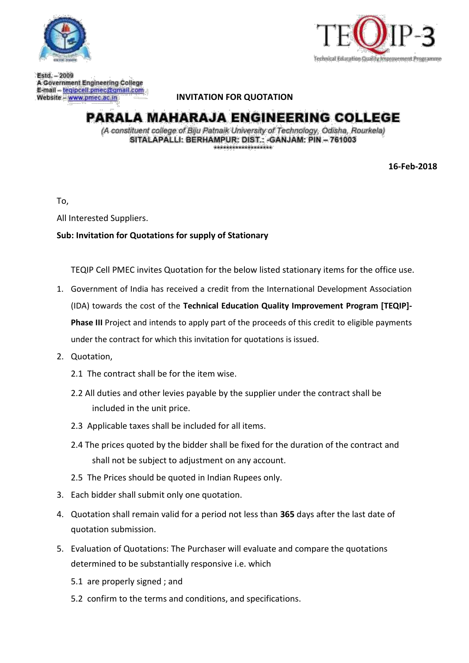



Estd. - 2009 A Government Engineering College E-mail - tegipcell.pmec@gmail.com Website - www.pmec.ac.in

#### **INVITATION FOR QUOTATION**

# **PARALA MAHARAJA ENGINEERING COLLEGE**

(A constituent college of Biju Patnalk University of Technology, Odisha, Rourkela) SITALAPALLI: BERHAMPUR: DIST.: - GANJAM: PIN - 761003 والمترافأ والمسترقية والمستحيل والمشارق والمترافية

**16-Feb-2018**

To,

All Interested Suppliers.

#### **Sub: Invitation for Quotations for supply of Stationary**

TEQIP Cell PMEC invites Quotation for the below listed stationary items for the office use.

- 1. Government of India has received a credit from the International Development Association (IDA) towards the cost of the **Technical Education Quality Improvement Program [TEQIP]- Phase III** Project and intends to apply part of the proceeds of this credit to eligible payments under the contract for which this invitation for quotations is issued.
- 2. Quotation,
	- 2.1 The contract shall be for the item wise.
	- 2.2 All duties and other levies payable by the supplier under the contract shall be included in the unit price.
	- 2.3 Applicable taxes shall be included for all items.
	- 2.4 The prices quoted by the bidder shall be fixed for the duration of the contract and shall not be subject to adjustment on any account.
	- 2.5 The Prices should be quoted in Indian Rupees only.
- 3. Each bidder shall submit only one quotation.
- 4. Quotation shall remain valid for a period not less than **365** days after the last date of quotation submission.
- 5. Evaluation of Quotations: The Purchaser will evaluate and compare the quotations determined to be substantially responsive i.e. which
	- 5.1 are properly signed ; and
	- 5.2 confirm to the terms and conditions, and specifications.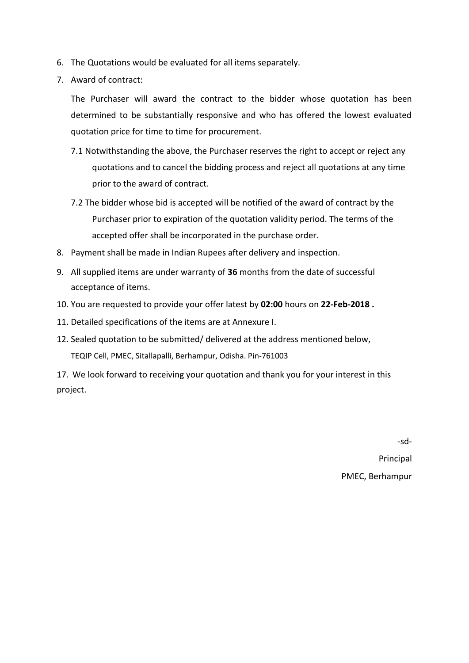- 6. The Quotations would be evaluated for all items separately.
- 7. Award of contract:

The Purchaser will award the contract to the bidder whose quotation has been determined to be substantially responsive and who has offered the lowest evaluated quotation price for time to time for procurement.

- 7.1 Notwithstanding the above, the Purchaser reserves the right to accept or reject any quotations and to cancel the bidding process and reject all quotations at any time prior to the award of contract.
- 7.2 The bidder whose bid is accepted will be notified of the award of contract by the Purchaser prior to expiration of the quotation validity period. The terms of the accepted offer shall be incorporated in the purchase order.
- 8. Payment shall be made in Indian Rupees after delivery and inspection.
- 9. All supplied items are under warranty of **36** months from the date of successful acceptance of items.
- 10. You are requested to provide your offer latest by **02:00** hours on **22-Feb-2018 .**
- 11. Detailed specifications of the items are at Annexure I.
- 12. Sealed quotation to be submitted/ delivered at the address mentioned below, TEQIP Cell, PMEC, Sitallapalli, Berhampur, Odisha. Pin-761003

17. We look forward to receiving your quotation and thank you for your interest in this project.

-sd-

Principal PMEC, Berhampur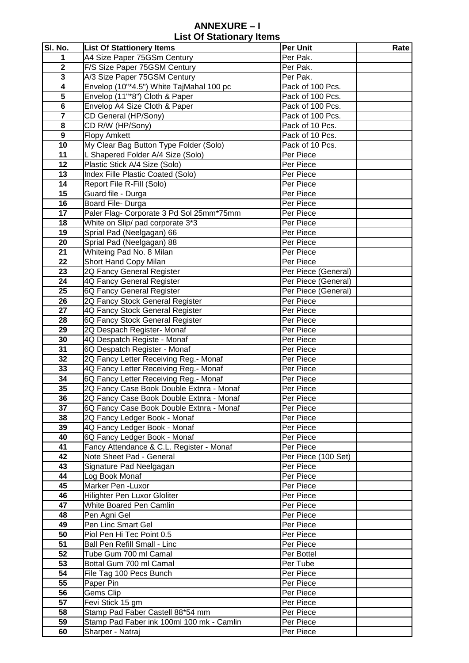### **ANNEXURE – I List Of Stationary Items**

| SI. No.                 | <b>List Of Stattionery Items</b>          | <b>Per Unit</b>     | Rate |
|-------------------------|-------------------------------------------|---------------------|------|
| 1                       | A4 Size Paper 75GSm Century               | Per Pak.            |      |
| $\overline{\mathbf{2}}$ | F/S Size Paper 75GSM Century              | Per Pak.            |      |
| $\mathbf{3}$            | A/3 Size Paper 75GSM Century              | Per Pak.            |      |
| $\overline{\mathbf{4}}$ | Envelop (10"*4.5") White TajMahal 100 pc  | Pack of 100 Pcs.    |      |
| $\overline{\mathbf{5}}$ | Envelop (11"*8") Cloth & Paper            | Pack of 100 Pcs.    |      |
| $\bf 6$                 | Envelop A4 Size Cloth & Paper             | Pack of 100 Pcs.    |      |
| $\overline{\mathbf{7}}$ | CD General (HP/Sony)                      | Pack of 100 Pcs.    |      |
| 8                       | CD R/W (HP/Sony)                          | Pack of 10 Pcs.     |      |
| $\boldsymbol{9}$        | <b>Flopy Amkett</b>                       | Pack of 10 Pcs.     |      |
| 10                      | My Clear Bag Button Type Folder (Solo)    | Pack of 10 Pcs.     |      |
| 11                      | Shapered Folder A/4 Size (Solo)           | Per Piece           |      |
| 12                      | Plastic Stick A/4 Size (Solo)             | Per Piece           |      |
| 13                      | Index Fille Plastic Coated (Solo)         | Per Piece           |      |
| 14                      | Report File R-Fill (Solo)                 | Per Piece           |      |
| 15                      | Guard file - Durga                        | Per Piece           |      |
| 16                      | Board File- Durga                         | Per Piece           |      |
| 17                      | Paler Flag- Corporate 3 Pd Sol 25mm*75mm  | Per Piece           |      |
| 18                      | White on Slip/ pad corporate 3*3          | Per Piece           |      |
| 19                      | Sprial Pad (Neelgagan) 66                 | Per Piece           |      |
| 20                      | Sprial Pad (Neelgagan) 88                 | Per Piece           |      |
| 21                      | Whiteing Pad No. 8 Milan                  | Per Piece           |      |
| 22                      | Short Hand Copy Milan                     | Per Piece           |      |
| 23                      | 2Q Fancy General Register                 | Per Piece (General) |      |
| 24                      | 4Q Fancy General Register                 | Per Piece (General) |      |
| 25                      | 6Q Fancy General Register                 | Per Piece (General) |      |
| 26                      | 2Q Fancy Stock General Register           | Per Piece           |      |
| 27                      | 4Q Fancy Stock General Register           | Per Piece           |      |
| 28                      | 6Q Fancy Stock General Register           | Per Piece           |      |
| 29                      | 2Q Despach Register- Monaf                | Per Piece           |      |
| 30                      | 4Q Despatch Registe - Monaf               | Per Piece           |      |
| 31                      | 6Q Despatch Register - Monaf              | Per Piece           |      |
| 32                      | 2Q Fancy Letter Receiving Reg.- Monaf     | Per Piece           |      |
| 33                      | 4Q Fancy Letter Receiving Reg.- Monaf     | Per Piece           |      |
| 34                      | 6Q Fancy Letter Receiving Reg.- Monaf     | Per Piece           |      |
| 35                      | 2Q Fancy Case Book Double Extnra - Monaf  | Per Piece           |      |
| 36                      | 2Q Fancy Case Book Double Extnra - Monaf  | Per Piece           |      |
| 37                      | 6Q Fancy Case Book Double Extnra - Monaf  | Per Piece           |      |
| 38                      | 2Q Fancy Ledger Book - Monaf              | Per Piece           |      |
| 39                      | 4Q Fancy Ledger Book - Monaf              | Per Piece           |      |
| 40                      | 6Q Fancy Ledger Book - Monaf              | Per Piece           |      |
| 41                      | Fancy Attendance & C.L. Register - Monaf  | Per Piece           |      |
| 42                      | Note Sheet Pad - General                  | Per Piece (100 Set) |      |
| 43                      | Signature Pad Neelgagan                   | Per Piece           |      |
| 44                      | Log Book Monaf                            | Per Piece           |      |
| 45                      | Marker Pen - Luxor                        | Per Piece           |      |
| 46                      | Hilighter Pen Luxor Gloliter              | Per Piece           |      |
| 47                      | White Boared Pen Camlin                   | Per Piece           |      |
| 48                      | Pen Agni Gel                              | Per Piece           |      |
| 49                      | Pen Linc Smart Gel                        | Per Piece           |      |
| 50                      | Piol Pen Hi Tec Point 0.5                 | Per Piece           |      |
| 51                      | Ball Pen Refill Small - Linc              | Per Piece           |      |
| 52                      | Tube Gum 700 ml Camal                     | Per Bottel          |      |
| 53                      | Bottal Gum 700 ml Camal                   | Per Tube            |      |
| 54                      | File Tag 100 Pecs Bunch                   | Per Piece           |      |
| 55                      | Paper Pin                                 | Per Piece           |      |
| 56                      | Gems Clip                                 | Per Piece           |      |
| 57                      | Fevi Stick 15 gm                          | Per Piece           |      |
| 58                      | Stamp Pad Faber Castell 88*54 mm          | Per Piece           |      |
| 59                      | Stamp Pad Faber ink 100ml 100 mk - Camlin | Per Piece           |      |
| 60                      | Sharper - Natraj                          | Per Piece           |      |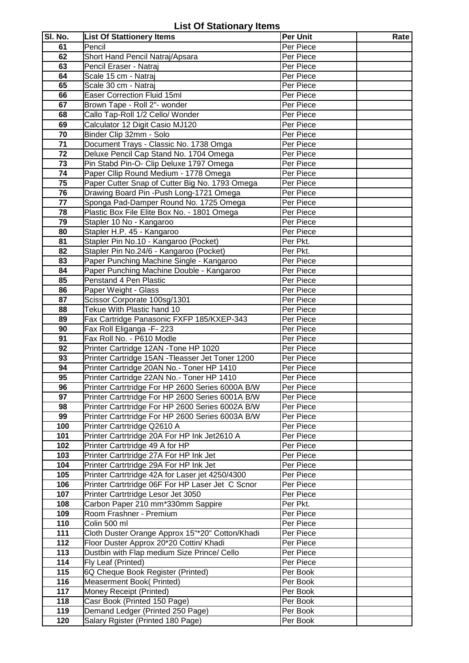|  | <b>List Of Stationary Items</b> |  |
|--|---------------------------------|--|
|--|---------------------------------|--|

| SI. No.         | <b>List Of Stattionery Items</b>                                                       | <b>Per Unit</b>        | Rate |
|-----------------|----------------------------------------------------------------------------------------|------------------------|------|
| 61              | Pencil                                                                                 | Per Piece              |      |
| 62              | Short Hand Pencil Natraj/Apsara                                                        | Per Piece              |      |
| 63              | Pencil Eraser - Natraj                                                                 | Per Piece              |      |
| 64              | Scale 15 cm - Natraj                                                                   | Per Piece              |      |
| 65              | Scale 30 cm - Natraj                                                                   | Per Piece              |      |
| 66              | Easer Correction Fluid 15ml                                                            | Per Piece              |      |
| 67              | Brown Tape - Roll 2"- wonder                                                           | Per Piece              |      |
| 68              | Callo Tap-Roll 1/2 Cello/ Wonder                                                       | Per Piece              |      |
| 69              | Calculator 12 Digit Casio MJ120                                                        | Per Piece              |      |
| 70              | Binder Clip 32mm - Solo                                                                | Per Piece              |      |
| 71              | Document Trays - Classic No. 1738 Omga                                                 | Per Piece              |      |
| 72              | Deluxe Pencil Cap Stand No. 1704 Omega                                                 | Per Piece              |      |
| $\overline{73}$ | Pin Stabd Pin-O- Clip Deluxe 1797 Omega                                                | Per Piece              |      |
| 74              | Paper Cllip Round Medium - 1778 Omega                                                  | Per Piece              |      |
| 75              | Paper Cutter Snap of Cutter Big No. 1793 Omega                                         | Per Piece              |      |
| 76              | Drawing Board Pin -Push Long-1721 Omega                                                | Per Piece              |      |
| 77              | Sponga Pad-Damper Round No. 1725 Omega                                                 | Per Piece              |      |
| 78              | Plastic Box File Elite Box No. - 1801 Omega                                            | Per Piece              |      |
| 79              | Stapler 10 No - Kangaroo                                                               | Per Piece              |      |
| 80              | Stapler H.P. 45 - Kangaroo                                                             | Per Piece              |      |
| 81              | Stapler Pin No.10 - Kangaroo (Pocket)                                                  | Per Pkt.               |      |
| 82              | Stapler Pin No.24/6 - Kangaroo (Pocket)                                                | Per Pkt.               |      |
| 83              | Paper Punching Machine Single - Kangaroo                                               | Per Piece              |      |
| 84              | Paper Punching Machine Double - Kangaroo                                               | Per Piece              |      |
| 85              | Penstand 4 Pen Plastic                                                                 | Per Piece              |      |
| 86              | Paper Weight - Glass                                                                   | Per Piece              |      |
| 87              | Scissor Corporate 100sg/1301                                                           | Per Piece              |      |
| 88              | Tekue With Plastic hand 10                                                             | Per Piece              |      |
| 89              | Fax Cartridge Panasonic FXFP 185/KXEP-343                                              | Per Piece              |      |
| 90<br>91        | Fax Roll Eliganga -F- 223<br>Fax Roll No. - P610 Modle                                 | Per Piece<br>Per Piece |      |
| 92              | Printer Cartridge 12AN - Tone HP 1020                                                  | Per Piece              |      |
| 93              | Printer Cartridge 15AN - Tleasser Jet Toner 1200                                       | Per Piece              |      |
| 94              | Printer Cartridge 20AN No.- Toner HP 1410                                              | Per Piece              |      |
| 95              | Printer Cartridge 22AN No.- Toner HP 1410                                              | Per Piece              |      |
| 96              | Printer Cartrtridge For HP 2600 Series 6000A B/W                                       | Per Piece              |      |
| 97              | Printer Cartrtridge For HP 2600 Series 6001A B/W                                       | Per Piece              |      |
| 98              | Printer Cartrtridge For HP 2600 Series 6002A B/W                                       | Per Piece              |      |
| 99              | Printer Cartrtridge For HP 2600 Series 6003A B/W                                       | Per Piece              |      |
| 100             | Printer Cartrtridge Q2610 A                                                            | Per Piece              |      |
| 101             | Printer Cartrtridge 20A For HP Ink Jet2610 A                                           | Per Piece              |      |
| 102             | Printer Cartrtridge 49 A for HP                                                        | Per Piece              |      |
| 103             | Printer Cartrtridge 27A For HP Ink Jet                                                 | Per Piece              |      |
| 104             | Printer Cartrtridge 29A For HP Ink Jet                                                 | Per Piece              |      |
| 105             | Printer Cartrtridge 42A for Laser jet 4250/4300                                        | Per Piece              |      |
| 106             | Printer Cartrtridge 06F For HP Laser Jet C Scnor                                       | Per Piece              |      |
| 107             | Printer Cartrtridge Lesor Jet 3050                                                     | Per Piece              |      |
| 108             | Carbon Paper 210 mm*330mm Sappire                                                      | Per Pkt.               |      |
| 109             | Room Frashner - Premium                                                                | Per Piece              |      |
| 110             | Colin 500 ml                                                                           | Per Piece              |      |
| 111<br>112      | Cloth Duster Orange Approx 15"*20" Cotton/Khadi                                        | Per Piece<br>Per Piece |      |
| 113             | Floor Duster Approx 20*20 Cottin/ Khadi<br>Dustbin with Flap medium Size Prince/ Cello | Per Piece              |      |
| 114             | Fly Leaf (Printed)                                                                     | Per Piece              |      |
| 115             | 6Q Cheque Book Register (Printed)                                                      | Per Book               |      |
| 116             | Measerment Book(Printed)                                                               | Per Book               |      |
| 117             | Money Receipt (Printed)                                                                | Per Book               |      |
| 118             | Casr Book (Printed 150 Page)                                                           | Per Book               |      |
| 119             | Demand Ledger (Printed 250 Page)                                                       | Per Book               |      |
| 120             | Salary Rgister (Printed 180 Page)                                                      | Per Book               |      |